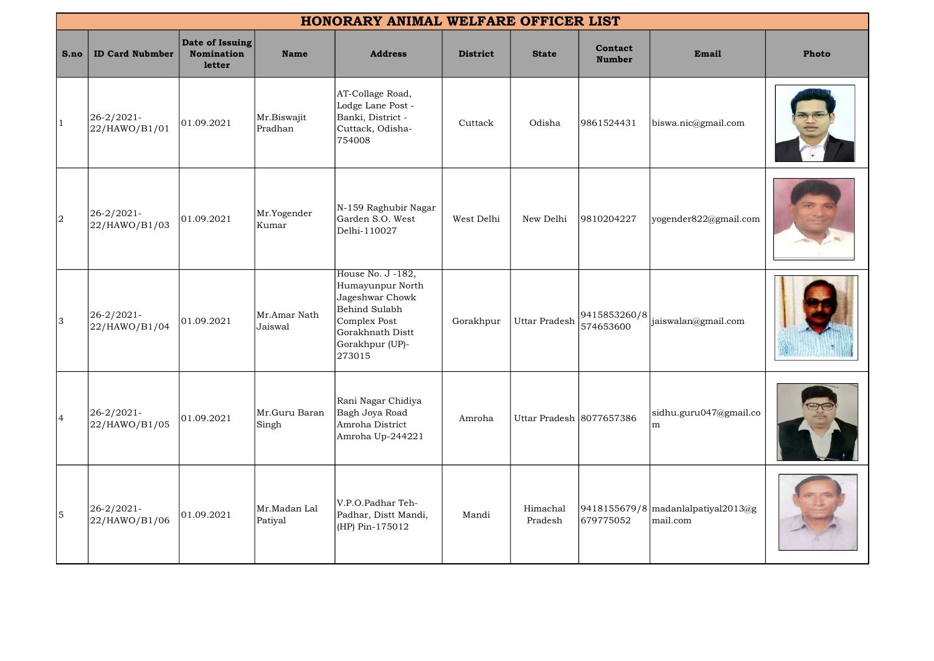|                | HONORARY ANIMAL WELFARE OFFICER LIST |                                                       |                         |                                                                                                                                            |                 |                          |                           |                                                |              |
|----------------|--------------------------------------|-------------------------------------------------------|-------------------------|--------------------------------------------------------------------------------------------------------------------------------------------|-----------------|--------------------------|---------------------------|------------------------------------------------|--------------|
| S.no           | <b>ID Card Nubmber</b>               | Date of Issuing<br><b>Nomination</b><br><b>letter</b> | <b>Name</b>             | <b>Address</b>                                                                                                                             | <b>District</b> | <b>State</b>             | Contact<br><b>Number</b>  | Email                                          | <b>Photo</b> |
| $ 1\rangle$    | 26-2/2021-<br>22/HAWO/B1/01          | 01.09.2021                                            | Mr.Biswajit<br>Pradhan  | AT-Collage Road,<br>Lodge Lane Post -<br>Banki, District -<br>Cuttack, Odisha-<br>754008                                                   | Cuttack         | Odisha                   | 9861524431                | biswa.nic@gmail.com                            |              |
| $\overline{a}$ | 26-2/2021-<br>22/HAWO/B1/03          | 01.09.2021                                            | Mr.Yogender<br>Kumar    | N-159 Raghubir Nagar<br>Garden S.O. West<br>Delhi-110027                                                                                   | West Delhi      | New Delhi                | 9810204227                | yogender822@gmail.com                          |              |
| 3              | $26 - 2/2021 -$<br>22/HAWO/B1/04     | 01.09.2021                                            | Mr.Amar Nath<br>Jaiswal | House No. J -182,<br>Humayunpur North<br>Jageshwar Chowk<br>Behind Sulabh<br>Complex Post<br>Gorakhnath Distt<br>Gorakhpur (UP)-<br>273015 | Gorakhpur       | <b>Uttar Pradesh</b>     | 9415853260/8<br>574653600 | jaiswalan@gmail.com                            |              |
| $\overline{4}$ | 26-2/2021-<br>22/HAWO/B1/05          | 01.09.2021                                            | Mr.Guru Baran<br>Singh  | Rani Nagar Chidiya<br>Bagh Joya Road<br>Amroha District<br>Amroha Up-244221                                                                | Amroha          | Uttar Pradesh 8077657386 |                           | sidhu.guru047@gmail.co<br>m                    |              |
| 5              | 26-2/2021-<br>22/HAWO/B1/06          | 01.09.2021                                            | Mr.Madan Lal<br>Patiyal | V.P.O.Padhar Teh-<br>Padhar, Distt Mandi,<br>(HP) Pin-175012                                                                               | Mandi           | Himachal<br>Pradesh      | 679775052                 | 9418155679/8 madanlalpatiyal2013@g<br>mail.com |              |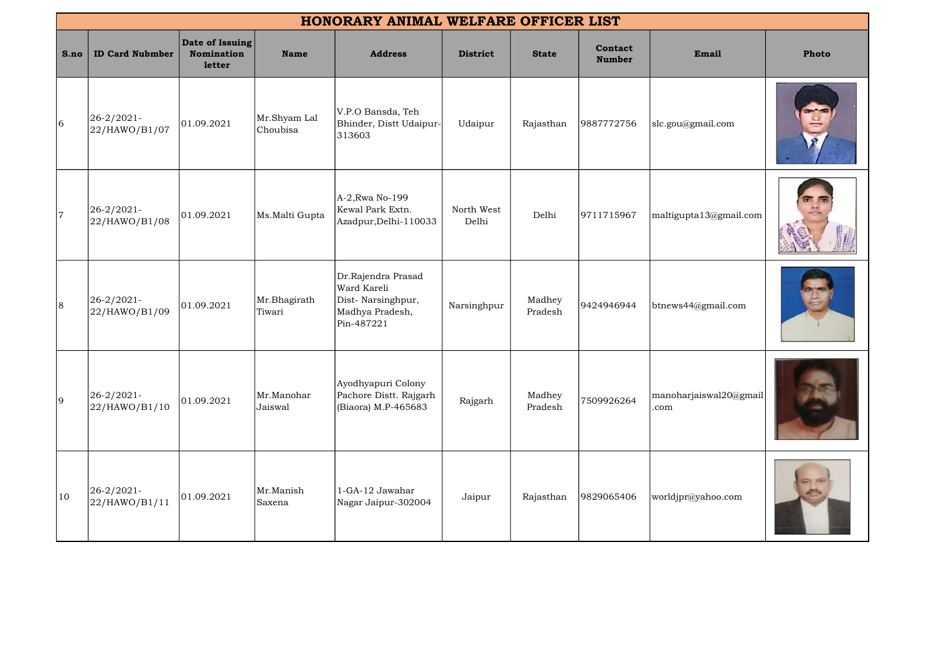|      | HONORARY ANIMAL WELFARE OFFICER LIST |                                         |                          |                                                                                         |                     |                   |                          |                                |       |  |
|------|--------------------------------------|-----------------------------------------|--------------------------|-----------------------------------------------------------------------------------------|---------------------|-------------------|--------------------------|--------------------------------|-------|--|
| S.no | <b>ID Card Nubmber</b>               | Date of Issuing<br>Nomination<br>letter | <b>Name</b>              | <b>Address</b>                                                                          | <b>District</b>     | <b>State</b>      | Contact<br><b>Number</b> | Email                          | Photo |  |
| 6    | 26-2/2021-<br>22/HAWO/B1/07          | 01.09.2021                              | Mr.Shyam Lal<br>Choubisa | V.P.O Bansda, Teh<br>Bhinder, Distt Udaipur-<br>313603                                  | Udaipur             | Rajasthan         | 9887772756               | slc.gou@gmail.com              |       |  |
| 7    | 26-2/2021-<br>22/HAWO/B1/08          | 01.09.2021                              | Ms.Malti Gupta           | A-2, Rwa No-199<br>Kewal Park Extn.<br>Azadpur, Delhi-110033                            | North West<br>Delhi | Delhi             | 9711715967               | maltigupta13@gmail.com         |       |  |
| 8    | 26-2/2021-<br>22/HAWO/B1/09          | 01.09.2021                              | Mr.Bhagirath<br>Tiwari   | Dr.Rajendra Prasad<br>Ward Kareli<br>Dist-Narsinghpur,<br>Madhya Pradesh,<br>Pin-487221 | Narsinghpur         | Madhey<br>Pradesh | 9424946944               | btnews44@gmail.com             |       |  |
| 9    | 26-2/2021-<br>22/HAWO/B1/10          | 01.09.2021                              | Mr.Manohar<br>Jaiswal    | Ayodhyapuri Colony<br>Pachore Distt. Rajgarh<br>(Biaora) M.P-465683                     | Rajgarh             | Madhey<br>Pradesh | 7509926264               | manoharjaiswal20@gmail<br>.com |       |  |
| 10   | 26-2/2021-<br>22/HAWO/B1/11          | 01.09.2021                              | Mr.Manish<br>Saxena      | 1-GA-12 Jawahar<br>Nagar Jaipur-302004                                                  | Jaipur              | Rajasthan         | 9829065406               | worldjpr@yahoo.com             |       |  |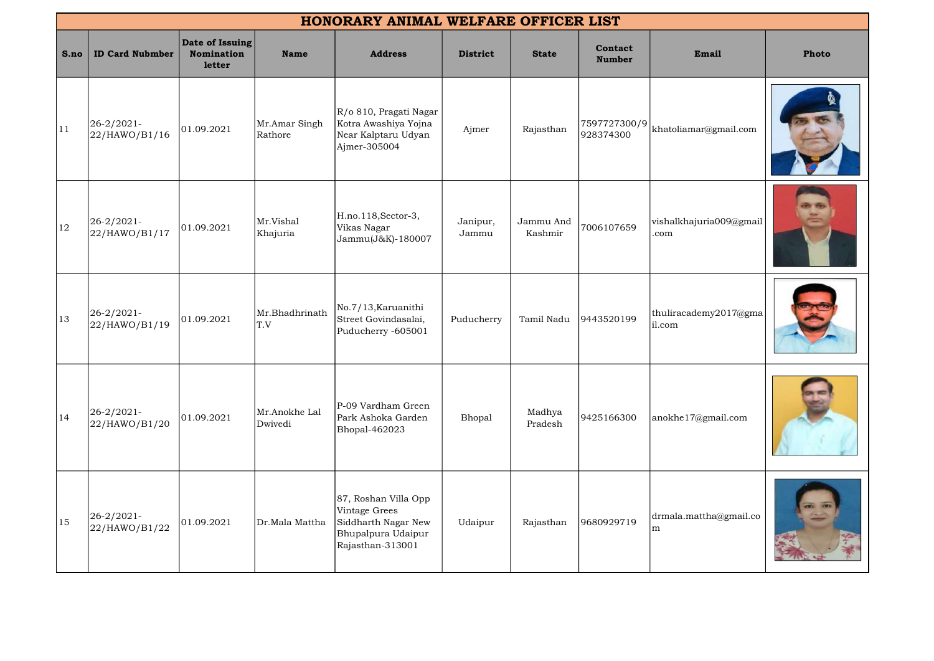|      | HONORARY ANIMAL WELFARE OFFICER LIST |                                                |                          |                                                                                                        |                   |                      |                           |                                 |       |  |
|------|--------------------------------------|------------------------------------------------|--------------------------|--------------------------------------------------------------------------------------------------------|-------------------|----------------------|---------------------------|---------------------------------|-------|--|
| S.no | <b>ID Card Nubmber</b>               | Date of Issuing<br><b>Nomination</b><br>letter | <b>Name</b>              | <b>Address</b>                                                                                         | <b>District</b>   | <b>State</b>         | Contact<br><b>Number</b>  | Email                           | Photo |  |
| 11   | 26-2/2021-<br>22/HAWO/B1/16          | 01.09.2021                                     | Mr.Amar Singh<br>Rathore | $R$ /0 810, Pragati Nagar<br>Kotra Awashiya Yojna<br>Near Kalptaru Udyan<br>Ajmer-305004               | Ajmer             | Rajasthan            | 7597727300/9<br>928374300 | khatoliamar@gmail.com           |       |  |
| 12   | 26-2/2021-<br>22/HAWO/B1/17          | 01.09.2021                                     | Mr.Vishal<br>Khajuria    | H.no.118, Sector-3,<br>Vikas Nagar<br>Jammu(J&K)-180007                                                | Janipur,<br>Jammu | Jammu And<br>Kashmir | 7006107659                | vishalkhajuria009@gmail<br>.com |       |  |
| 13   | 26-2/2021-<br>22/HAWO/B1/19          | 01.09.2021                                     | Mr.Bhadhrinath<br>T.V    | No.7/13, Karuanithi<br>Street Govindasalai,<br>Puducherry -605001                                      | Puducherry        | Tamil Nadu           | 9443520199                | thuliracademy2017@gma<br>il.com |       |  |
| 14   | $26 - 2/2021$<br>22/HAWO/B1/20       | 01.09.2021                                     | Mr.Anokhe Lal<br>Dwivedi | P-09 Vardham Green<br>Park Ashoka Garden<br>Bhopal-462023                                              | Bhopal            | Madhya<br>Pradesh    | 9425166300                | anokhe17@gmail.com              |       |  |
| 15   | 26-2/2021-<br>22/HAWO/B1/22          | 01.09.2021                                     | Dr.Mala Mattha           | 87, Roshan Villa Opp<br>Vintage Grees<br>Siddharth Nagar New<br>Bhupalpura Udaipur<br>Rajasthan-313001 | Udaipur           | Rajasthan            | 9680929719                | drmala.mattha@gmail.co<br>m     |       |  |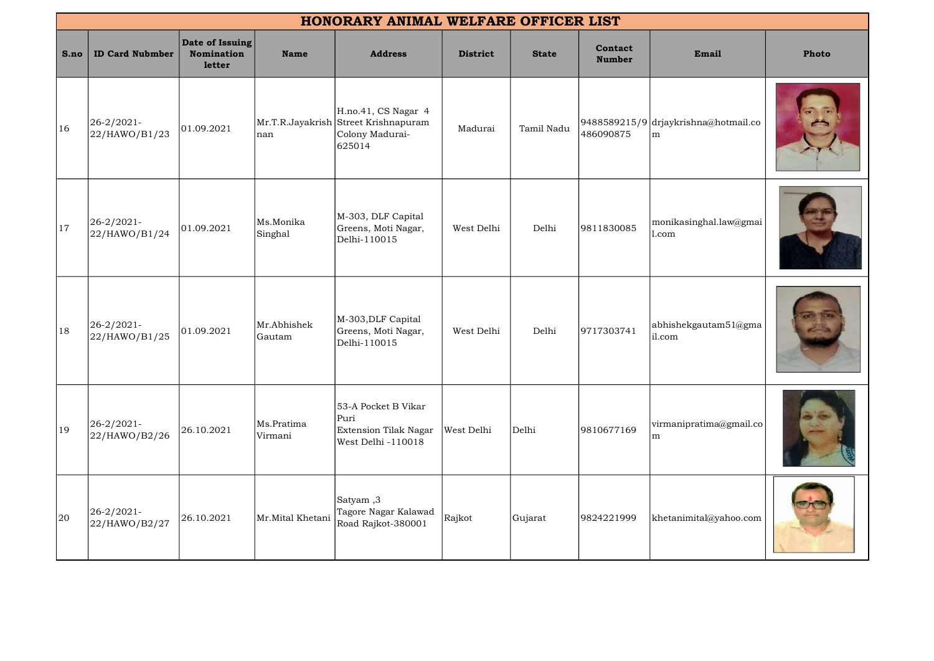|      | HONORARY ANIMAL WELFARE OFFICER LIST |                                                |                       |                                                                                          |                 |              |                          |                                           |              |  |
|------|--------------------------------------|------------------------------------------------|-----------------------|------------------------------------------------------------------------------------------|-----------------|--------------|--------------------------|-------------------------------------------|--------------|--|
| S.no | <b>ID Card Nubmber</b>               | Date of Issuing<br><b>Nomination</b><br>letter | <b>Name</b>           | <b>Address</b>                                                                           | <b>District</b> | <b>State</b> | Contact<br><b>Number</b> | Email                                     | <b>Photo</b> |  |
| 16   | 26-2/2021-<br>22/HAWO/B1/23          | 01.09.2021                                     | nan                   | H.no.41, CS Nagar 4<br>Mr.T.R.Jayakrish Street Krishnapuram<br>Colony Madurai-<br>625014 | Madurai         | Tamil Nadu   | 486090875                | 9488589215/9 drjaykrishna@hotmail.co<br>m |              |  |
| 17   | 26-2/2021-<br>22/HAWO/B1/24          | 01.09.2021                                     | Ms.Monika<br>Singhal  | M-303, DLF Capital<br>Greens, Moti Nagar,<br>Delhi-110015                                | West Delhi      | Delhi        | 9811830085               | monikasinghal.law@gmai<br>$\vert$ 1.com   |              |  |
| 18   | 26-2/2021-<br>22/HAWO/B1/25          | 01.09.2021                                     | Mr.Abhishek<br>Gautam | M-303, DLF Capital<br>Greens, Moti Nagar,<br>Delhi-110015                                | West Delhi      | Delhi        | 9717303741               | abhishekgautam51@gma<br>il.com            |              |  |
| 19   | 26-2/2021-<br>22/HAWO/B2/26          | 26.10.2021                                     | Ms.Pratima<br>Virmani | 53-A Pocket B Vikar<br>Puri<br><b>Extension Tilak Nagar</b><br>West Delhi -110018        | West Delhi      | Delhi        | 9810677169               | virmanipratima@gmail.co<br>m.             |              |  |
| 20   | 26-2/2021-<br>22/HAWO/B2/27          | 26.10.2021                                     | Mr.Mital Khetani      | Satyam, 3<br>Tagore Nagar Kalawad<br>Road Rajkot-380001                                  | Rajkot          | Gujarat      | 9824221999               | khetanimital@yahoo.com                    |              |  |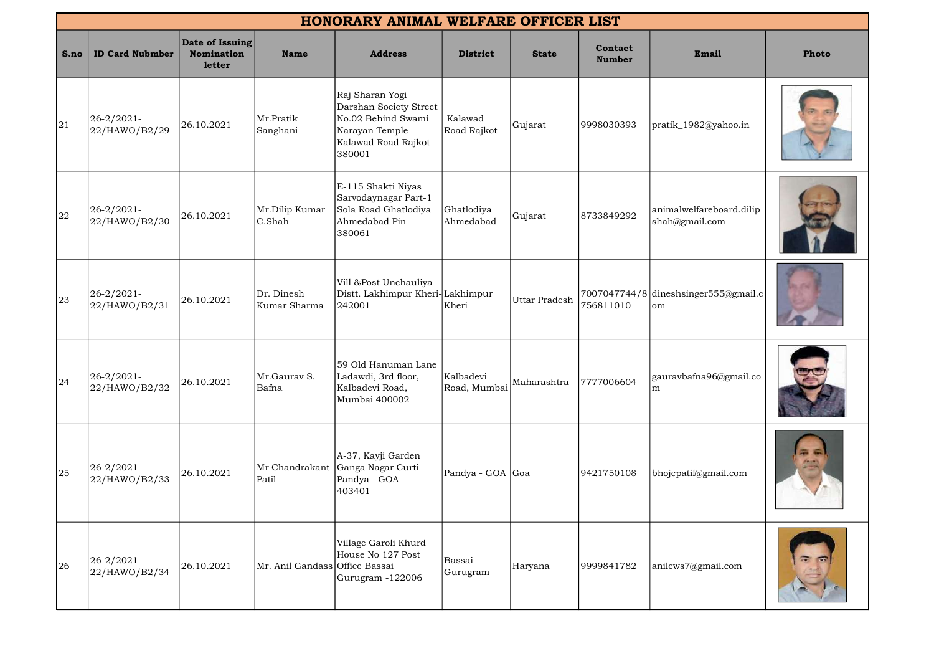|      | HONORARY ANIMAL WELFARE OFFICER LIST |                                                |                                |                                                                                                                     |                           |                      |                          |                                            |       |  |
|------|--------------------------------------|------------------------------------------------|--------------------------------|---------------------------------------------------------------------------------------------------------------------|---------------------------|----------------------|--------------------------|--------------------------------------------|-------|--|
| S.no | <b>ID Card Nubmber</b>               | Date of Issuing<br><b>Nomination</b><br>letter | <b>Name</b>                    | <b>Address</b>                                                                                                      | <b>District</b>           | <b>State</b>         | Contact<br><b>Number</b> | Email                                      | Photo |  |
| 21   | $26 - 2/2021$<br>22/HAWO/B2/29       | 26.10.2021                                     | Mr.Pratik<br>Sanghani          | Raj Sharan Yogi<br>Darshan Society Street<br>No.02 Behind Swami<br>Narayan Temple<br>Kalawad Road Rajkot-<br>380001 | Kalawad<br>Road Rajkot    | Gujarat              | 9998030393               | pratik_1982@yahoo.in                       |       |  |
| 22   | $26 - 2/2021$<br>22/HAWO/B2/30       | 26.10.2021                                     | Mr.Dilip Kumar<br>C.Shah       | E-115 Shakti Niyas<br>Sarvodaynagar Part-1<br>Sola Road Ghatlodiya<br>Ahmedabad Pin-<br>380061                      | Ghatlodiya<br>Ahmedabad   | Gujarat              | 8733849292               | animalwelfareboard.dilip<br>shah@gmail.com |       |  |
| 23   | $26 - 2/2021$<br>22/HAWO/B2/31       | 26.10.2021                                     | Dr. Dinesh<br>Kumar Sharma     | Vill &Post Unchauliya<br>Distt. Lakhimpur Kheri-Lakhimpur<br>242001                                                 | Kheri                     | <b>Uttar Pradesh</b> | 756811010                | 7007047744/8 dineshsinger555@gmail.c<br>om |       |  |
| 24   | 26-2/2021-<br>22/HAWO/B2/32          | 26.10.2021                                     | Mr.Gaurav S.<br>Bafna          | 59 Old Hanuman Lane<br>Ladawdi, 3rd floor,<br>Kalbadevi Road,<br>Mumbai 400002                                      | Kalbadevi<br>Road, Mumbai | Maharashtra          | 7777006604               | gauravbafna96@gmail.co<br>m                |       |  |
| 25   | $26 - 2/2021$<br>22/HAWO/B2/33       | 26.10.2021                                     | Patil                          | A-37, Kayji Garden<br>Mr Chandrakant Ganga Nagar Curti<br>Pandya - GOA -<br>403401                                  | Pandya - GOA  Goa         |                      | 9421750108               | bhojepatil@gmail.com                       |       |  |
| 26   | 26-2/2021-<br>22/HAWO/B2/34          | 26.10.2021                                     | Mr. Anil Gandass Office Bassai | Village Garoli Khurd<br>House No 127 Post<br>Gurugram -122006                                                       | Bassai<br>Gurugram        | Haryana              | 9999841782               | anilews7@gmail.com                         |       |  |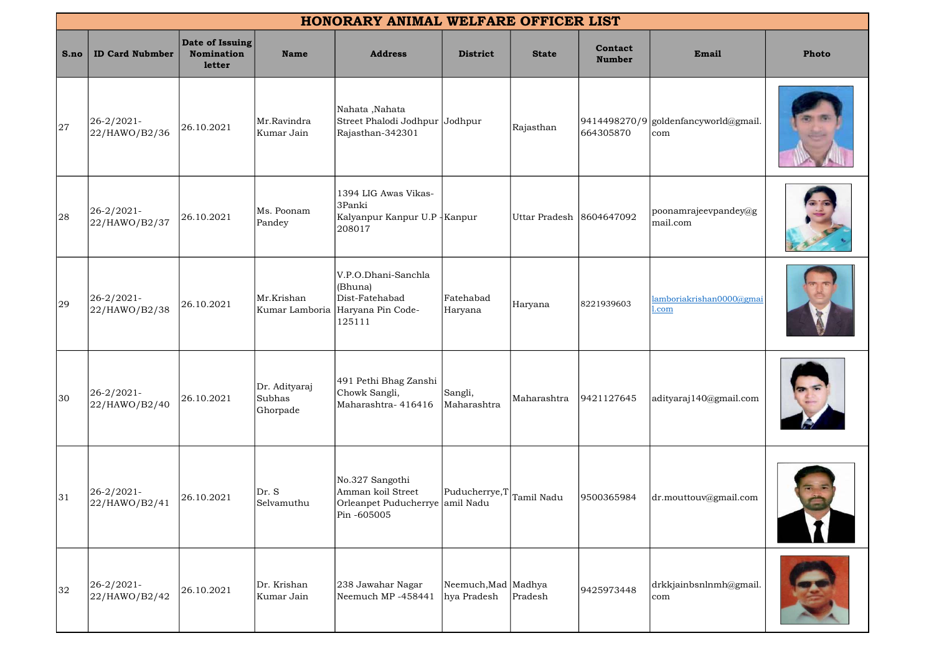| HONORARY ANIMAL WELFARE OFFICER LIST |                                |                                         |                                     |                                                                                                |                                      |               |                          |                                             |              |
|--------------------------------------|--------------------------------|-----------------------------------------|-------------------------------------|------------------------------------------------------------------------------------------------|--------------------------------------|---------------|--------------------------|---------------------------------------------|--------------|
| S.no                                 | <b>ID Card Nubmber</b>         | Date of Issuing<br>Nomination<br>letter | <b>Name</b>                         | <b>Address</b>                                                                                 | <b>District</b>                      | <b>State</b>  | Contact<br><b>Number</b> | Email                                       | <b>Photo</b> |
| 27                                   | 26-2/2021-<br>22/HAWO/B2/36    | 26.10.2021                              | Mr.Ravindra<br>Kumar Jain           | Nahata, Nahata<br>Street Phalodi Jodhpur Jodhpur<br>Rajasthan-342301                           |                                      | Rajasthan     | 664305870                | 9414498270/9 goldenfancyworld@gmail.<br>com |              |
| 28                                   | $26 - 2/2021$<br>22/HAWO/B2/37 | 26.10.2021                              | Ms. Poonam<br>Pandey                | 1394 LIG Awas Vikas-<br>3Panki<br>Kalyanpur Kanpur U.P - Kanpur<br>208017                      |                                      | Uttar Pradesh | 8604647092               | poonamrajeevpandey@g<br>mail.com            |              |
| 29                                   | $26 - 2/2021$<br>22/HAWO/B2/38 | 26.10.2021                              | Mr.Krishan                          | V.P.O.Dhani-Sanchla<br>(Bhuna)<br>Dist-Fatehabad<br>Kumar Lamboria Haryana Pin Code-<br>125111 | Fatehabad<br>Haryana                 | Haryana       | 8221939603               | amboriakrishan0000@gmai<br>.com             |              |
| 30                                   | $26 - 2/2021$<br>22/HAWO/B2/40 | 26.10.2021                              | Dr. Adityaraj<br>Subhas<br>Ghorpade | 491 Pethi Bhag Zanshi<br>Chowk Sangli,<br>Maharashtra-416416                                   | Sangli,<br>Maharashtra               | Maharashtra   | 9421127645               | adityaraj140@gmail.com                      |              |
| 31                                   | $26 - 2/2021$<br>22/HAWO/B2/41 | 26.10.2021                              | Dr. S<br>Selvamuthu                 | No.327 Sangothi<br>Amman koil Street<br>Orleanpet Puducherrye amil Nadu<br>Pin -605005         | Puducherrye, T                       | Tamil Nadu    | 9500365984               | dr.mouttouv@gmail.com                       |              |
| 32                                   | $26 - 2/2021$<br>22/HAWO/B2/42 | 26.10.2021                              | Dr. Krishan<br>Kumar Jain           | 238 Jawahar Nagar<br>Neemuch MP-458441                                                         | Neemuch, Mad   Madhya<br>hya Pradesh | Pradesh       | 9425973448               | drkkjainbsnlnmh@gmail.<br>com               |              |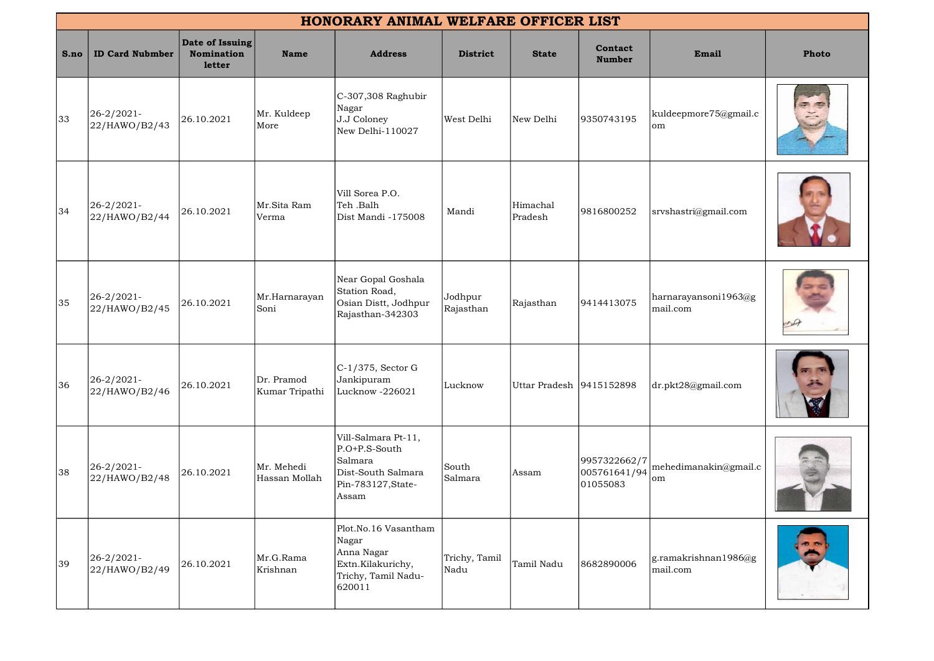|      | HONORARY ANIMAL WELFARE OFFICER LIST |                                                |                              |                                                                                                        |                       |                          |                                          |                                  |       |  |
|------|--------------------------------------|------------------------------------------------|------------------------------|--------------------------------------------------------------------------------------------------------|-----------------------|--------------------------|------------------------------------------|----------------------------------|-------|--|
| S.no | <b>ID Card Nubmber</b>               | Date of Issuing<br><b>Nomination</b><br>letter | <b>Name</b>                  | <b>Address</b>                                                                                         | <b>District</b>       | <b>State</b>             | Contact<br><b>Number</b>                 | Email                            | Photo |  |
| 33   | 26-2/2021-<br>22/HAWO/B2/43          | 26.10.2021                                     | Mr. Kuldeep<br>More          | $C-307,308$ Raghubir<br>Nagar<br>J.J Coloney<br>New Delhi-110027                                       | West Delhi            | New Delhi                | 9350743195                               | kuldeepmore75@gmail.c<br>lom     |       |  |
| 34   | 26-2/2021-<br>22/HAWO/B2/44          | 26.10.2021                                     | Mr.Sita Ram<br>Verma         | Vill Sorea P.O.<br>Teh .Balh<br>Dist Mandi -175008                                                     | Mandi                 | Himachal<br>Pradesh      | 9816800252                               | srvshastri@gmail.com             |       |  |
| 35   | 26-2/2021-<br>22/HAWO/B2/45          | 26.10.2021                                     | Mr.Harnarayan<br>Soni        | Near Gopal Goshala<br>Station Road,<br>Osian Distt, Jodhpur<br>Rajasthan-342303                        | Jodhpur<br>Rajasthan  | Rajasthan                | 9414413075                               | harnarayansoni1963@g<br>mail.com |       |  |
| 36   | 26-2/2021-<br>22/HAWO/B2/46          | 26.10.2021                                     | Dr. Pramod<br>Kumar Tripathi | $C-1/375$ , Sector G<br>Jankipuram<br>Lucknow -226021                                                  | Lucknow               | Uttar Pradesh 9415152898 |                                          | dr.pkt28@gmail.com               |       |  |
| 38   | 26-2/2021-<br>22/HAWO/B2/48          | 26.10.2021                                     | Mr. Mehedi<br>Hassan Mollah  | Vill-Salmara Pt-11,<br>$P.O+P.S-South$<br>Salmara<br>Dist-South Salmara<br>Pin-783127, State-<br>Assam | South<br>Salmara      | Assam                    | 9957322662/7<br>005761641/94<br>01055083 | mehedimanakin@gmail.c<br> om     |       |  |
| 39   | 26-2/2021-<br>22/HAWO/B2/49          | 26.10.2021                                     | Mr.G.Rama<br>Krishnan        | Plot.No.16 Vasantham<br>Nagar<br>Anna Nagar<br>Extn.Kilakurichy,<br>Trichy, Tamil Nadu-<br>620011      | Trichy, Tamil<br>Nadu | Tamil Nadu               | 8682890006                               | g.ramakrishnan1986@g<br>mail.com |       |  |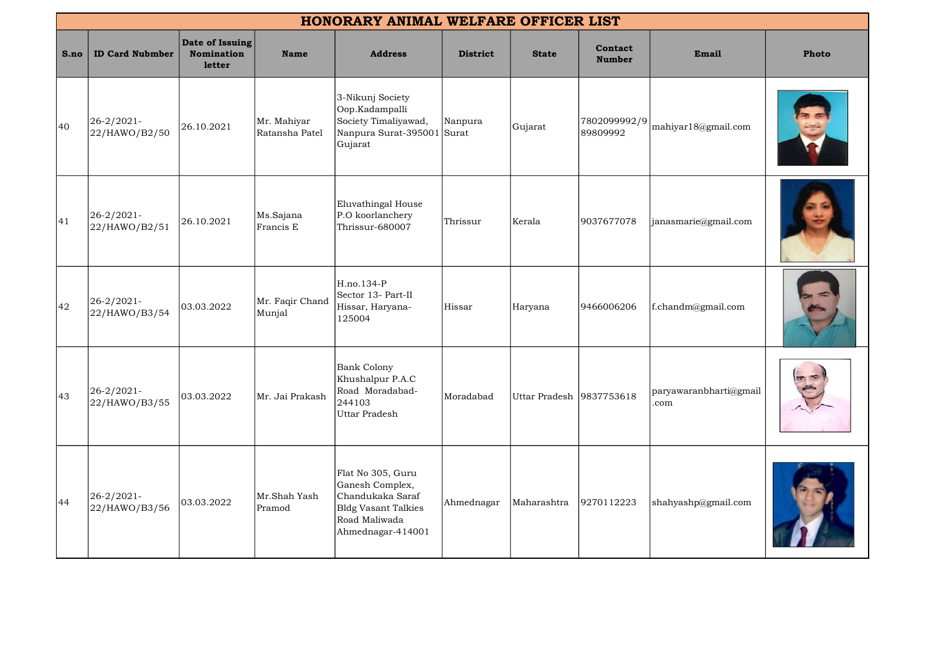|      | HONORARY ANIMAL WELFARE OFFICER LIST |                                                |                               |                                                                                                                       |                  |                          |                          |                                    |       |  |  |
|------|--------------------------------------|------------------------------------------------|-------------------------------|-----------------------------------------------------------------------------------------------------------------------|------------------|--------------------------|--------------------------|------------------------------------|-------|--|--|
| S.no | <b>ID Card Nubmber</b>               | Date of Issuing<br><b>Nomination</b><br>letter | <b>Name</b>                   | <b>Address</b>                                                                                                        | <b>District</b>  | <b>State</b>             | Contact<br><b>Number</b> | Email                              | Photo |  |  |
| 40   | 26-2/2021-<br>22/HAWO/B2/50          | 26.10.2021                                     | Mr. Mahiyar<br>Ratansha Patel | 3-Nikunj Society<br>Oop.Kadampalli<br>Society Timaliyawad,<br>Nanpura Surat-395001<br>Gujarat                         | Nanpura<br>Surat | Gujarat                  | 7802099992/9<br>89809992 | mahiyar18@gmail.com                |       |  |  |
| 41   | $26 - 2/2021$<br>22/HAWO/B2/51       | 26.10.2021                                     | Ms.Sajana<br>Francis E        | Eluvathingal House<br>P.O koorlanchery<br>Thrissur-680007                                                             | Thrissur         | Kerala                   | 9037677078               | janasmarie@gmail.com               |       |  |  |
| 42   | 26-2/2021-<br>22/HAWO/B3/54          | 03.03.2022                                     | Mr. Faqir Chand<br>Munjal     | H.no.134-P<br>Sector 13- Part-II<br>Hissar, Haryana-<br>125004                                                        | Hissar           | Haryana                  | 9466006206               | f.chandm@gmail.com                 |       |  |  |
| 43   | $26 - 2/2021$<br>22/HAWO/B3/55       | 03.03.2022                                     | Mr. Jai Prakash               | <b>Bank Colony</b><br>Khushalpur P.A.C<br>Road Moradabad-<br>244103<br>Uttar Pradesh                                  | Moradabad        | Uttar Pradesh 9837753618 |                          | $ $ paryawaranbharti@gmail<br>.com |       |  |  |
| 44   | 26-2/2021-<br>22/HAWO/B3/56          | 03.03.2022                                     | Mr.Shah Yash<br>Pramod        | Flat No 305, Guru<br>Ganesh Complex,<br>Chandukaka Saraf<br>Bldg Vasant Talkies<br>Road Maliwada<br>Ahmednagar-414001 | Ahmednagar       | Maharashtra              | 9270112223               | shahyashp@gmail.com                |       |  |  |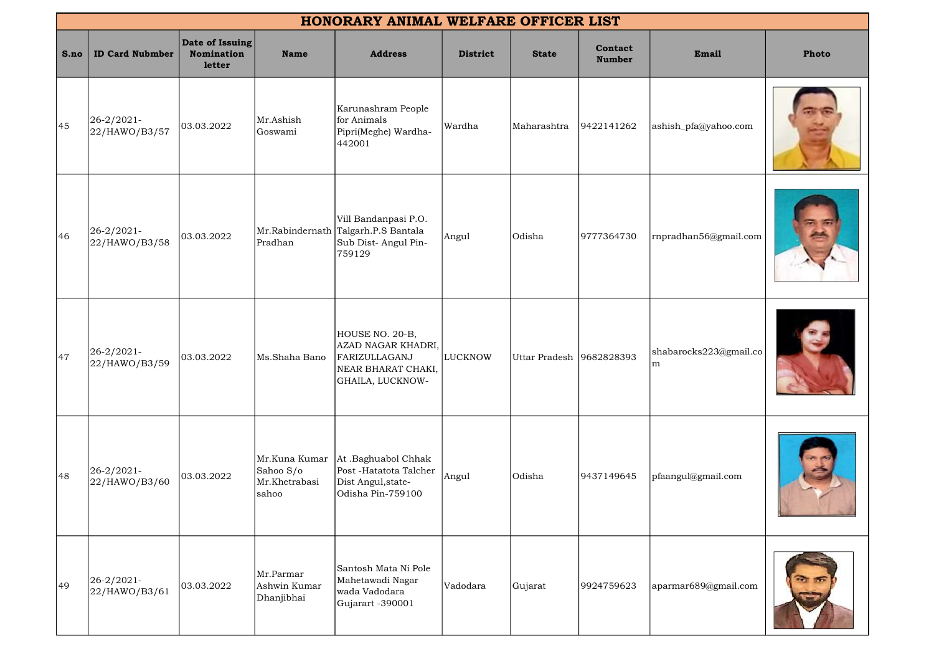|      | HONORARY ANIMAL WELFARE OFFICER LIST |                                         |                                                      |                                                                                                  |                 |               |                          |                             |       |
|------|--------------------------------------|-----------------------------------------|------------------------------------------------------|--------------------------------------------------------------------------------------------------|-----------------|---------------|--------------------------|-----------------------------|-------|
| S.no | <b>ID Card Nubmber</b>               | Date of Issuing<br>Nomination<br>letter | <b>Name</b>                                          | <b>Address</b>                                                                                   | <b>District</b> | <b>State</b>  | Contact<br><b>Number</b> | Email                       | Photo |
| 45   | $26 - 2/2021$<br>22/HAWO/B3/57       | 03.03.2022                              | Mr.Ashish<br>Goswami                                 | Karunashram People<br>for Animals<br>Pipri(Meghe) Wardha-<br>442001                              | Wardha          | Maharashtra   | 9422141262               | ashish_pfa@yahoo.com        |       |
| 46   | 26-2/2021-<br>22/HAWO/B3/58          | 03.03.2022                              | Pradhan                                              | Vill Bandanpasi P.O.<br>Mr.Rabindernath Talgarh.P.S Bantala<br>Sub Dist-Angul Pin-<br>759129     | Angul           | Odisha        | 9777364730               | rnpradhan56@gmail.com       |       |
| 47   | $26 - 2/2021$<br>22/HAWO/B3/59       | 03.03.2022                              | Ms.Shaha Bano                                        | HOUSE NO. 20-B,<br>AZAD NAGAR KHADRI,<br>FARIZULLAGANJ<br>NEAR BHARAT CHAKI,<br>GHAILA, LUCKNOW- | <b>LUCKNOW</b>  | Uttar Pradesh | 9682828393               | shabarocks223@gmail.co<br>m |       |
| 48   | 26-2/2021-<br>22/HAWO/B3/60          | 03.03.2022                              | Mr.Kuna Kumar<br>Sahoo S/o<br>Mr.Khetrabasi<br>sahoo | At .Baghuabol Chhak<br>Post -Hatatota Talcher<br>Dist Angul, state-<br>Odisha Pin-759100         | Angul           | Odisha        | 9437149645               | pfaangul@gmail.com          |       |
| 49   | 26-2/2021-<br>22/HAWO/B3/61          | 03.03.2022                              | Mr.Parmar<br>Ashwin Kumar<br>Dhanjibhai              | Santosh Mata Ni Pole<br>Mahetawadi Nagar<br>wada Vadodara<br>Gujarart -390001                    | Vadodara        | Gujarat       | 9924759623               | aparmar689@gmail.com        |       |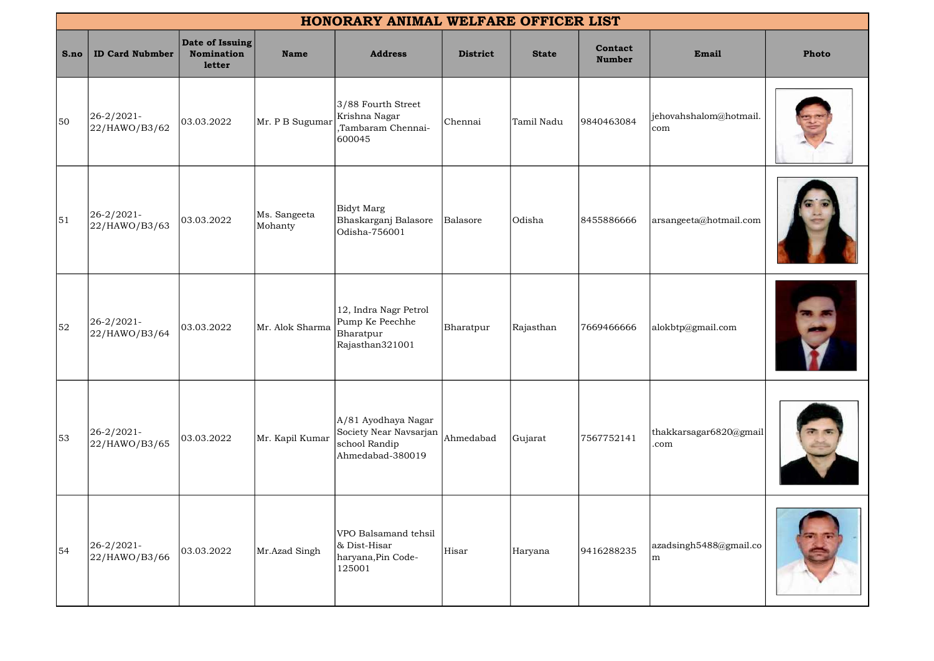|      | HONORARY ANIMAL WELFARE OFFICER LIST |                                                |                         |                                                                                    |                 |              |                          |                                |       |
|------|--------------------------------------|------------------------------------------------|-------------------------|------------------------------------------------------------------------------------|-----------------|--------------|--------------------------|--------------------------------|-------|
| S.no | <b>ID Card Nubmber</b>               | Date of Issuing<br><b>Nomination</b><br>letter | <b>Name</b>             | <b>Address</b>                                                                     | <b>District</b> | <b>State</b> | Contact<br><b>Number</b> | Email                          | Photo |
| 50   | 26-2/2021-<br>22/HAWO/B3/62          | 03.03.2022                                     | Mr. P B Sugumar         | 3/88 Fourth Street<br>Krishna Nagar<br>,Tambaram Chennai-<br>600045                | Chennai         | Tamil Nadu   | 9840463084               | jehovahshalom@hotmail.<br>com  |       |
| 51   | 26-2/2021-<br>22/HAWO/B3/63          | 03.03.2022                                     | Ms. Sangeeta<br>Mohanty | Bidyt Marg<br>Bhaskarganj Balasore<br>Odisha-756001                                | Balasore        | Odisha       | 8455886666               | arsangeeta@hotmail.com         |       |
| 52   | 26-2/2021-<br>22/HAWO/B3/64          | 03.03.2022                                     | Mr. Alok Sharma         | 12, Indra Nagr Petrol<br>Pump Ke Peechhe<br>Bharatpur<br>Rajasthan321001           | Bharatpur       | Rajasthan    | 7669466666               | alokbtp@gmail.com              |       |
| 53   | 26-2/2021-<br>22/HAWO/B3/65          | 03.03.2022                                     | Mr. Kapil Kumar         | A/81 Ayodhaya Nagar<br>Society Near Navsarjan<br>school Randip<br>Ahmedabad-380019 | Ahmedabad       | Gujarat      | 7567752141               | thakkarsagar6820@gmail<br>.com |       |
| 54   | 26-2/2021-<br>22/HAWO/B3/66          | 03.03.2022                                     | Mr.Azad Singh           | VPO Balsamand tehsil<br>& Dist-Hisar<br>haryana, Pin Code-<br>125001               | Hisar           | Haryana      | 9416288235               | azadsingh5488@gmail.co<br>m    |       |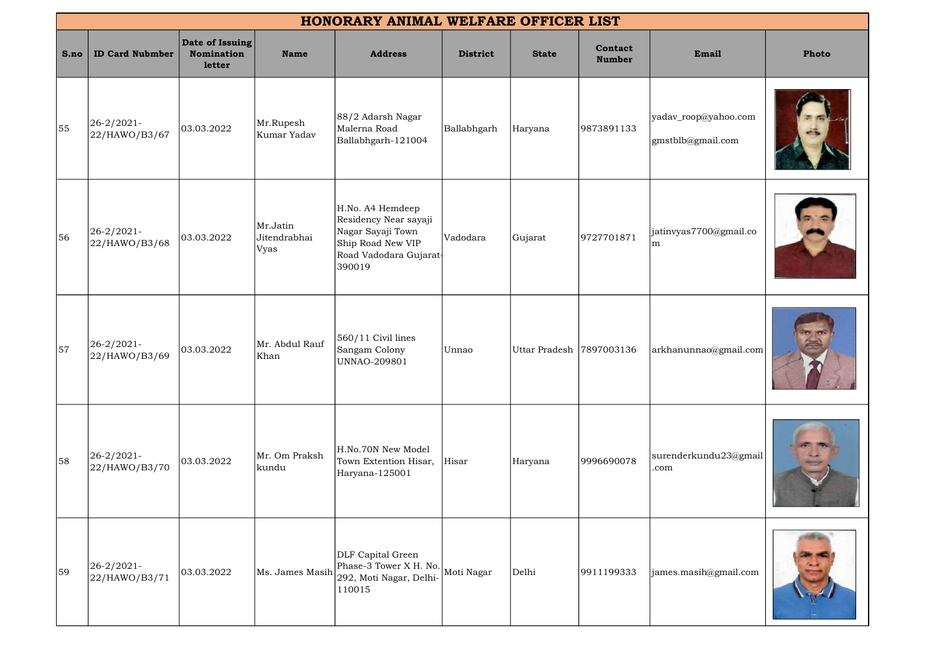|      | HONORARY ANIMAL WELFARE OFFICER LIST |                                         |                                  |                                                                                                                        |                 |                          |                          |                                           |              |  |
|------|--------------------------------------|-----------------------------------------|----------------------------------|------------------------------------------------------------------------------------------------------------------------|-----------------|--------------------------|--------------------------|-------------------------------------------|--------------|--|
| S.no | <b>ID Card Nubmber</b>               | Date of Issuing<br>Nomination<br>letter | <b>Name</b>                      | <b>Address</b>                                                                                                         | <b>District</b> | <b>State</b>             | Contact<br><b>Number</b> | Email                                     | <b>Photo</b> |  |
| 55   | $26 - 2/2021$ -<br>22/HAWO/B3/67     | 03.03.2022                              | Mr.Rupesh<br>Kumar Yadav         | 88/2 Adarsh Nagar<br>Malerna Road<br>Ballabhgarh-121004                                                                | Ballabhgarh     | Haryana                  | 9873891133               | yadav_roop@yahoo.com<br>gmstblb@gmail.com |              |  |
| 56   | 26-2/2021-<br>22/HAWO/B3/68          | 03.03.2022                              | Mr.Jatin<br>Jitendrabhai<br>Vyas | H.No. A4 Hemdeep<br>Residency Near sayaji<br>Nagar Sayaji Town<br>Ship Road New VIP<br>Road Vadodara Gujarat<br>390019 | Vadodara        | Gujarat                  | 9727701871               | jatinvyas7700@gmail.co<br>m               |              |  |
| 57   | 26-2/2021-<br>22/HAWO/B3/69          | 03.03.2022                              | Mr. Abdul Rauf<br>Khan           | 560/11 Civil lines<br>Sangam Colony<br>UNNAO-209801                                                                    | Unnao           | Uttar Pradesh 7897003136 |                          | arkhanunnao@gmail.com                     |              |  |
| 58   | $26 - 2/2021$ -<br>22/HAWO/B3/70     | 03.03.2022                              | Mr. Om Praksh<br>kundu           | H.No.70N New Model<br>Town Extention Hisar,<br>Haryana-125001                                                          | Hisar           | Haryana                  | 9996690078               | surenderkundu23@gmail<br>.com             |              |  |
| 59   | 26-2/2021-<br>22/HAWO/B3/71          | 03.03.2022                              | Ms. James Masih                  | DLF Capital Green<br>Phase-3 Tower X H. No. Moti Nagar<br>292, Moti Nagar, Delhi-<br>110015                            |                 | Delhi                    | 9911199333               | james.masih@gmail.com                     |              |  |